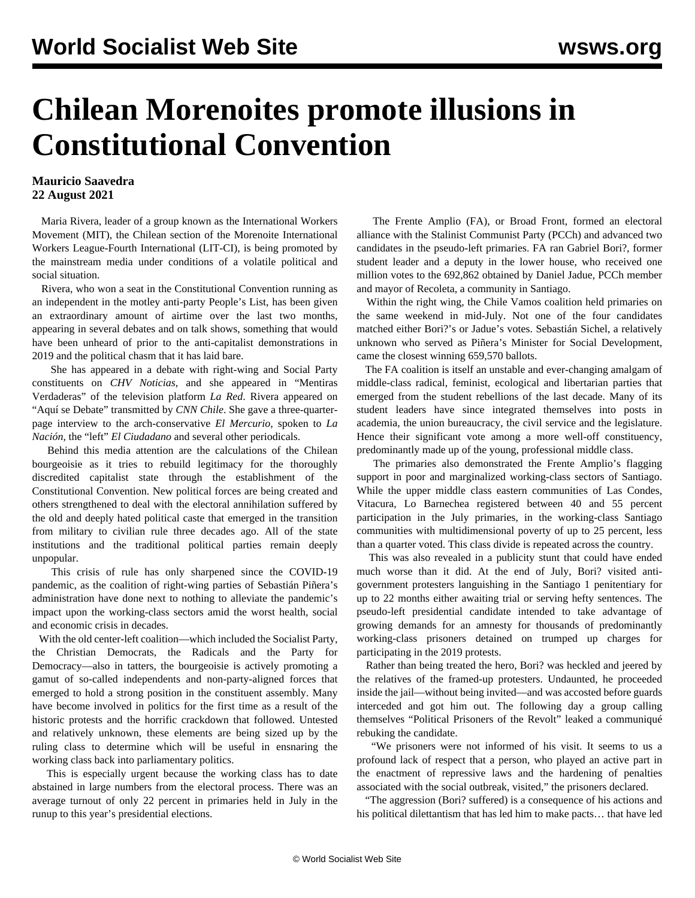## **Chilean Morenoites promote illusions in Constitutional Convention**

## **Mauricio Saavedra 22 August 2021**

 Maria Rivera, leader of a group known as the International Workers Movement (MIT), the Chilean section of the Morenoite International Workers League-Fourth International (LIT-CI), is being promoted by the mainstream media under conditions of a volatile political and social situation.

 Rivera, who won a seat in the Constitutional Convention running as an independent in the motley anti-party People's List, has been given an extraordinary amount of airtime over the last two months, appearing in several debates and on talk shows, something that would have been unheard of prior to the anti-capitalist demonstrations in 2019 and the political chasm that it has laid bare.

 She has appeared in a debate with right-wing and Social Party constituents on *[CHV Noticias](https://www.chvnoticias.cl/nacional/malucha-pinto-maria-rivera-ricardo-neumann-constituyentes-cc_20210523/)*, and she appeared in "Mentiras Verdaderas" of the television platform *[La Red](https://www.lared.cl/2021/programas/mentirasverdaderas/maria-rivera-desde-y)*. Rivera appeared on "Aquí se Debate" transmitted by *[CNN Chile](https://www.youtube.com/watch?v=tZICiQATDjA)*. She gave a three-quarterpage interview to the arch-conservative *El Mercurio,* spoken to *La Nación*, the "left" *El Ciudadano* and several other periodicals.

 Behind this media attention are the calculations of the Chilean bourgeoisie as it tries to rebuild legitimacy for the thoroughly discredited capitalist state through the establishment of the Constitutional Convention. New political forces are being created and others strengthened to deal with the electoral annihilation suffered by the old and deeply hated political caste that emerged in the transition from military to civilian rule three decades ago. All of the state institutions and the traditional political parties remain deeply unpopular.

 This crisis of rule has only sharpened since the COVID-19 pandemic, as the coalition of right-wing parties of Sebastián Piñera's administration have done next to nothing to alleviate the pandemic's impact upon the working-class sectors amid the worst health, social and economic crisis in decades.

 With the old center-left coalition—which included the Socialist Party, the Christian Democrats, the Radicals and the Party for Democracy—also in tatters, the bourgeoisie is actively promoting a gamut of so-called independents and non-party-aligned forces that emerged to hold a strong position in the constituent assembly. Many have become involved in politics for the first time as a result of the historic protests and the horrific crackdown that followed. Untested and relatively unknown, these elements are being sized up by the ruling class to determine which will be useful in ensnaring the working class back into parliamentary politics.

 This is especially urgent because the working class has to date abstained in large numbers from the electoral process. There was an average turnout of only 22 percent in primaries held in July in the runup to this year's presidential elections.

 The Frente Amplio (FA), or Broad Front, formed an electoral alliance with the Stalinist Communist Party (PCCh) and advanced two candidates in the pseudo-left primaries. FA ran Gabriel Bori?, former student leader and a deputy in the lower house, who received one million votes to the 692,862 obtained by Daniel Jadue, PCCh member and mayor of Recoleta, a community in Santiago.

 Within the right wing, the Chile Vamos coalition held primaries on the same weekend in mid-July. Not one of the four candidates matched either Bori?'s or Jadue's votes. Sebastián Sichel, a relatively unknown who served as Piñera's Minister for Social Development, came the closest winning 659,570 ballots.

 The FA coalition is itself an unstable and ever-changing amalgam of middle-class radical, feminist, ecological and libertarian parties that emerged from the student rebellions of the last decade. Many of its student leaders have since integrated themselves into posts in academia, the union bureaucracy, the civil service and the legislature. Hence their significant vote among a more well-off constituency, predominantly made up of the young, professional middle class.

 The primaries also demonstrated the Frente Amplio's flagging support in poor and marginalized working-class sectors of Santiago. While the upper middle class eastern communities of Las Condes, Vitacura, Lo Barnechea registered between 40 and 55 percent participation in the July primaries, in the working-class Santiago communities with multidimensional poverty of up to 25 percent, less than a quarter voted. This class divide is repeated across the country.

 This was also revealed in a publicity stunt that could have ended much worse than it did. At the end of July, Bori? visited antigovernment protesters languishing in the Santiago 1 penitentiary for up to 22 months either awaiting trial or serving hefty sentences. The pseudo-left presidential candidate intended to take advantage of growing demands for an amnesty for thousands of predominantly working-class prisoners detained on trumped up charges for participating in the 2019 protests.

 Rather than being treated the hero, Bori? was heckled and jeered by the relatives of the framed-up protesters. Undaunted, he proceeded inside the jail—without being invited—and was accosted before guards interceded and got him out. The following day a group calling themselves "Political Prisoners of the Revolt" leaked a communiqué rebuking the candidate.

 "We prisoners were not informed of his visit. It seems to us a profound lack of respect that a person, who played an active part in the enactment of repressive laws and the hardening of penalties associated with the social outbreak, visited," the prisoners declared.

 "The aggression (Bori? suffered) is a consequence of his actions and his political dilettantism that has led him to make pacts… that have led